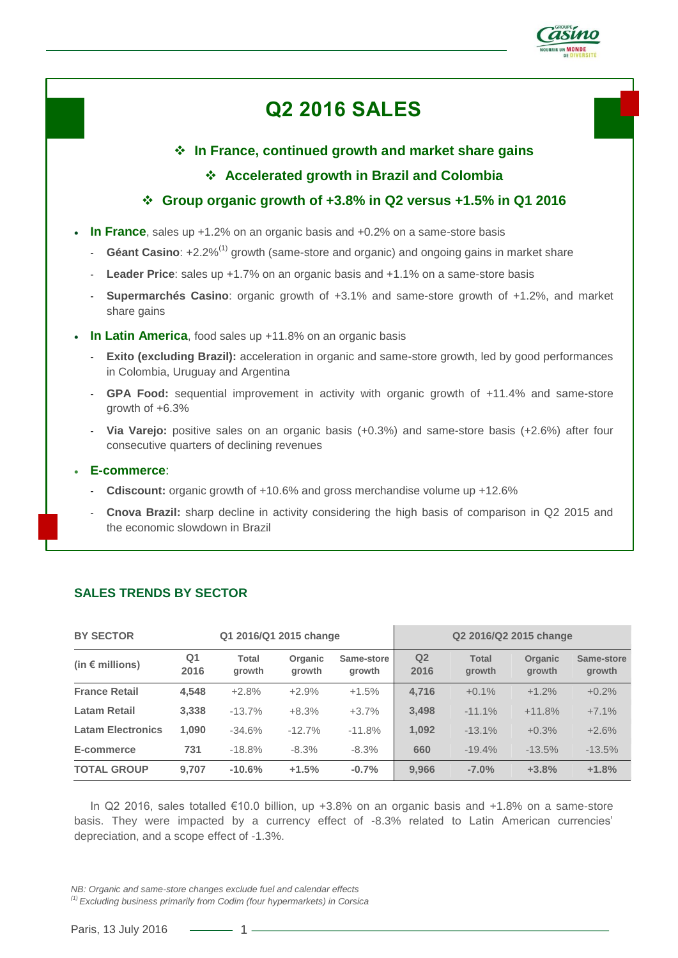

# **Q2 2016 SALES**

# **In France, continued growth and market share gains**

# **Accelerated growth in Brazil and Colombia**

# **Group organic growth of +3.8% in Q2 versus +1.5% in Q1 2016**

- **In France**, sales up +1.2% on an organic basis and +0.2% on a same-store basis
	- Géant Casino: +2.2%<sup>(1)</sup> growth (same-store and organic) and ongoing gains in market share
	- **Leader Price**: sales up +1.7% on an organic basis and +1.1% on a same-store basis
	- **Supermarchés Casino**: organic growth of +3.1% and same-store growth of +1.2%, and market share gains
- **In Latin America**, food sales up +11.8% on an organic basis
	- **Exito (excluding Brazil):** acceleration in organic and same-store growth, led by good performances in Colombia, Uruguay and Argentina
	- GPA Food: sequential improvement in activity with organic growth of +11.4% and same-store growth of +6.3%
	- **Via Varejo:** positive sales on an organic basis (+0.3%) and same-store basis (+2.6%) after four consecutive quarters of declining revenues
- **E-commerce**:
	- **Cdiscount:** organic growth of +10.6% and gross merchandise volume up +12.6%
	- **Cnova Brazil:** sharp decline in activity considering the high basis of comparison in Q2 2015 and the economic slowdown in Brazil

| <b>BY SECTOR</b><br>Q1 2016/Q1 2015 change |                        |                 |                   | Q2 2016/Q2 2015 change |                        |                        |                   |                      |
|--------------------------------------------|------------------------|-----------------|-------------------|------------------------|------------------------|------------------------|-------------------|----------------------|
| (in $\epsilon$ millions)                   | Q <sub>1</sub><br>2016 | Total<br>growth | Organic<br>growth | Same-store<br>growth   | Q <sub>2</sub><br>2016 | <b>Total</b><br>growth | Organic<br>growth | Same-store<br>growth |
| <b>France Retail</b>                       | 4,548                  | $+2.8%$         | $+2.9%$           | $+1.5%$                | 4,716                  | $+0.1\%$               | $+1.2%$           | $+0.2%$              |
| <b>Latam Retail</b>                        | 3.338                  | $-13.7%$        | $+8.3%$           | $+3.7%$                | 3.498                  | $-11.1%$               | $+11.8%$          | $+7.1%$              |
| <b>Latam Electronics</b>                   | 1,090                  | $-34.6%$        | $-12.7%$          | $-11.8%$               | 1,092                  | $-13.1%$               | $+0.3%$           | $+2.6%$              |
| E-commerce                                 | 731                    | $-18.8%$        | $-8.3%$           | $-8.3%$                | 660                    | $-19.4%$               | $-13.5%$          | $-13.5%$             |
| <b>TOTAL GROUP</b>                         | 9.707                  | $-10.6%$        | $+1.5%$           | $-0.7%$                | 9.966                  | $-7.0%$                | $+3.8%$           | $+1.8%$              |

# **SALES TRENDS BY SECTOR**

In Q2 2016, sales totalled €10.0 billion, up +3.8% on an organic basis and +1.8% on a same-store basis. They were impacted by a currency effect of -8.3% related to Latin American currencies' depreciation, and a scope effect of -1.3%.

*NB: Organic and same-store changes exclude fuel and calendar effects*

*(1) Excluding business primarily from Codim (four hypermarkets) in Corsica* 

Paris, 13 July 2016 – 1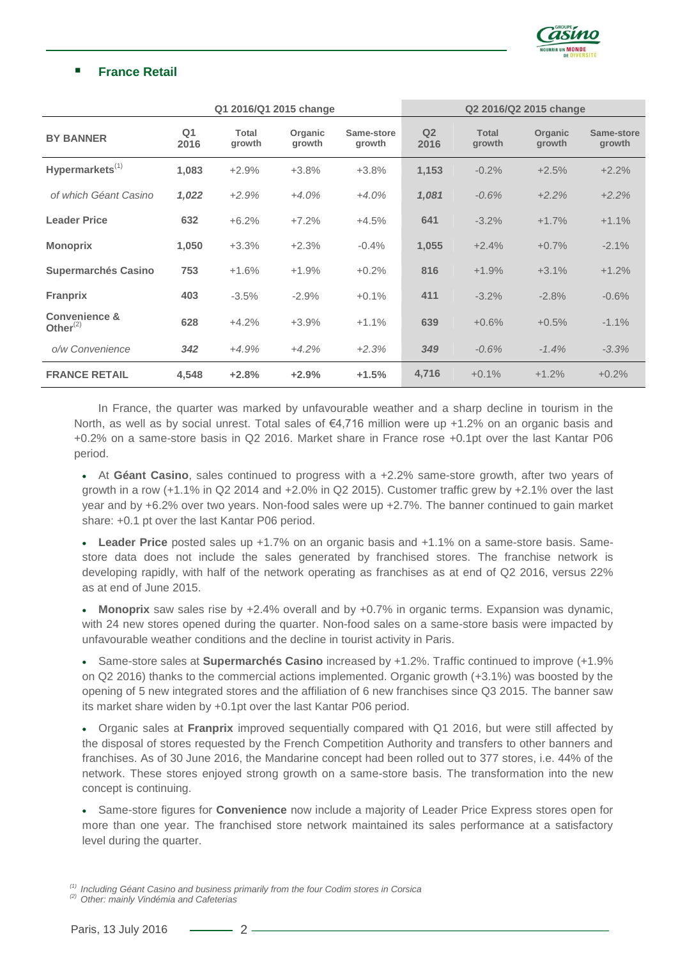

# **France Retail**

|                                         | Q1 2016/Q1 2015 change |                        |                   |                      | Q2 2016/Q2 2015 change |                        |                   |                      |
|-----------------------------------------|------------------------|------------------------|-------------------|----------------------|------------------------|------------------------|-------------------|----------------------|
| <b>BY BANNER</b>                        | Q <sub>1</sub><br>2016 | <b>Total</b><br>growth | Organic<br>growth | Same-store<br>growth | Q <sub>2</sub><br>2016 | <b>Total</b><br>growth | Organic<br>growth | Same-store<br>growth |
| Hypermarkets <sup>(1)</sup>             | 1,083                  | $+2.9%$                | $+3.8%$           | $+3.8%$              | 1,153                  | $-0.2%$                | $+2.5%$           | $+2.2%$              |
| of which Géant Casino                   | 1,022                  | $+2.9%$                | $+4.0%$           | $+4.0%$              | 1,081                  | $-0.6%$                | $+2.2%$           | $+2.2%$              |
| <b>Leader Price</b>                     | 632                    | $+6.2%$                | $+7.2%$           | $+4.5%$              | 641                    | $-3.2%$                | $+1.7%$           | $+1.1%$              |
| <b>Monoprix</b>                         | 1,050                  | $+3.3%$                | $+2.3%$           | $-0.4%$              | 1,055                  | $+2.4%$                | $+0.7%$           | $-2.1%$              |
| <b>Supermarchés Casino</b>              | 753                    | $+1.6%$                | $+1.9%$           | $+0.2%$              | 816                    | $+1.9%$                | $+3.1%$           | $+1.2%$              |
| <b>Franprix</b>                         | 403                    | $-3.5%$                | $-2.9%$           | $+0.1%$              | 411                    | $-3.2%$                | $-2.8%$           | $-0.6%$              |
| <b>Convenience &amp;</b><br>Other $(2)$ | 628                    | $+4.2%$                | $+3.9%$           | $+1.1%$              | 639                    | $+0.6%$                | $+0.5%$           | $-1.1%$              |
| o/w Convenience                         | 342                    | $+4.9%$                | $+4.2%$           | $+2.3%$              | 349                    | $-0.6%$                | $-1.4%$           | $-3.3%$              |
| <b>FRANCE RETAIL</b>                    | 4,548                  | $+2.8%$                | $+2.9%$           | $+1.5%$              | 4,716                  | $+0.1%$                | $+1.2%$           | $+0.2%$              |

In France, the quarter was marked by unfavourable weather and a sharp decline in tourism in the North, as well as by social unrest. Total sales of €4,716 million were up +1.2% on an organic basis and +0.2% on a same-store basis in Q2 2016. Market share in France rose +0.1pt over the last Kantar P06 period.

 At **Géant Casino**, sales continued to progress with a +2.2% same-store growth, after two years of growth in a row (+1.1% in Q2 2014 and +2.0% in Q2 2015). Customer traffic grew by +2.1% over the last year and by +6.2% over two years. Non-food sales were up +2.7%. The banner continued to gain market share: +0.1 pt over the last Kantar P06 period.

 **Leader Price** posted sales up +1.7% on an organic basis and +1.1% on a same-store basis. Samestore data does not include the sales generated by franchised stores. The franchise network is developing rapidly, with half of the network operating as franchises as at end of Q2 2016, versus 22% as at end of June 2015.

 **Monoprix** saw sales rise by +2.4% overall and by +0.7% in organic terms. Expansion was dynamic, with 24 new stores opened during the quarter. Non-food sales on a same-store basis were impacted by unfavourable weather conditions and the decline in tourist activity in Paris.

 Same-store sales at **Supermarchés Casino** increased by +1.2%. Traffic continued to improve (+1.9% on Q2 2016) thanks to the commercial actions implemented. Organic growth (+3.1%) was boosted by the opening of 5 new integrated stores and the affiliation of 6 new franchises since Q3 2015. The banner saw its market share widen by +0.1pt over the last Kantar P06 period.

 Organic sales at **Franprix** improved sequentially compared with Q1 2016, but were still affected by the disposal of stores requested by the French Competition Authority and transfers to other banners and franchises. As of 30 June 2016, the Mandarine concept had been rolled out to 377 stores, i.e. 44% of the network. These stores enjoyed strong growth on a same-store basis. The transformation into the new concept is continuing.

 Same-store figures for **Convenience** now include a majority of Leader Price Express stores open for more than one year. The franchised store network maintained its sales performance at a satisfactory level during the quarter.

*(1) Including Géant Casino and business primarily from the four Codim stores in Corsica*

*(2) Other: mainly Vindémia and Cafeterias*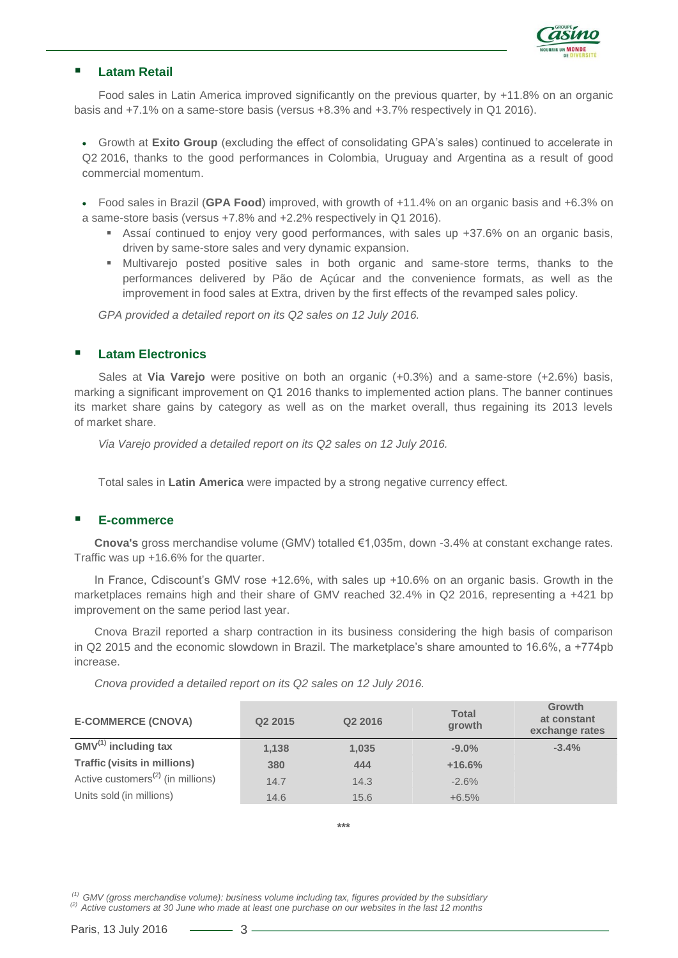

### **Latam Retail**

Food sales in Latin America improved significantly on the previous quarter, by +11.8% on an organic basis and +7.1% on a same-store basis (versus +8.3% and +3.7% respectively in Q1 2016).

 Growth at **Exito Group** (excluding the effect of consolidating GPA's sales) continued to accelerate in Q2 2016, thanks to the good performances in Colombia, Uruguay and Argentina as a result of good commercial momentum.

 Food sales in Brazil (**GPA Food**) improved, with growth of +11.4% on an organic basis and +6.3% on a same-store basis (versus +7.8% and +2.2% respectively in Q1 2016).

- Assaí continued to enjoy very good performances, with sales up  $+37.6\%$  on an organic basis, driven by same-store sales and very dynamic expansion.
- Multivarejo posted positive sales in both organic and same-store terms, thanks to the performances delivered by Pão de Açúcar and the convenience formats, as well as the improvement in food sales at Extra, driven by the first effects of the revamped sales policy.

*GPA provided a detailed report on its Q2 sales on 12 July 2016.*

#### **Latam Electronics**

Sales at **Via Varejo** were positive on both an organic (+0.3%) and a same-store (+2.6%) basis, marking a significant improvement on Q1 2016 thanks to implemented action plans. The banner continues its market share gains by category as well as on the market overall, thus regaining its 2013 levels of market share.

*Via Varejo provided a detailed report on its Q2 sales on 12 July 2016.*

Total sales in **Latin America** were impacted by a strong negative currency effect.

#### **E-commerce**

**Cnova's** gross merchandise volume (GMV) totalled €1,035m, down -3.4% at constant exchange rates. Traffic was up +16.6% for the quarter.

In France, Cdiscount's GMV rose +12.6%, with sales up +10.6% on an organic basis. Growth in the marketplaces remains high and their share of GMV reached 32.4% in Q2 2016, representing a +421 bp improvement on the same period last year.

Cnova Brazil reported a sharp contraction in its business considering the high basis of comparison in Q2 2015 and the economic slowdown in Brazil. The marketplace's share amounted to 16.6%, a +774pb increase.

*Cnova provided a detailed report on its Q2 sales on 12 July 2016.*

| <b>E-COMMERCE (CNOVA)</b>                     | Q <sub>2</sub> 2015 | Q2 2016 | <b>Total</b><br>growth | Growth<br>at constant<br>exchange rates |
|-----------------------------------------------|---------------------|---------|------------------------|-----------------------------------------|
| $GMV^{(1)}$ including tax                     | 1,138               | 1,035   | $-9.0%$                | $-3.4%$                                 |
| <b>Traffic (visits in millions)</b>           | 380                 | 444     | $+16.6%$               |                                         |
| Active customers <sup>(2)</sup> (in millions) | 14.7                | 14.3    | $-2.6%$                |                                         |
| Units sold (in millions)                      | 14.6                | 15.6    | $+6.5%$                |                                         |

**\*\*\***

*(1) GMV (gross merchandise volume): business volume including tax, figures provided by the subsidiary*

*(2) Active customers at 30 June who made at least one purchase on our websites in the last 12 months*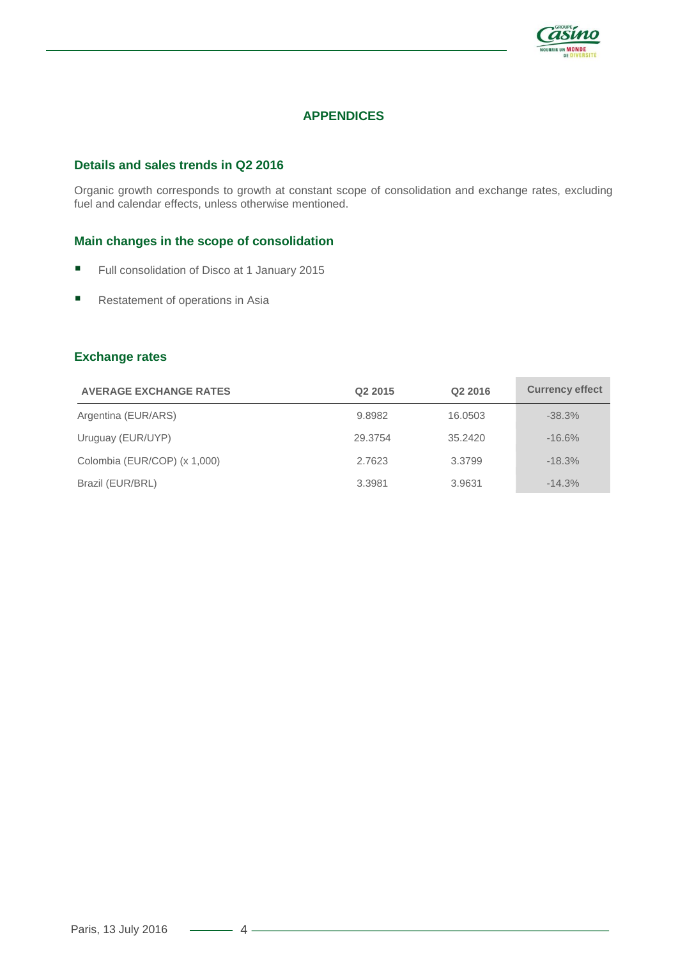

# **APPENDICES**

# **Details and sales trends in Q2 2016**

Organic growth corresponds to growth at constant scope of consolidation and exchange rates, excluding fuel and calendar effects, unless otherwise mentioned.

#### **Main changes in the scope of consolidation**

- Full consolidation of Disco at 1 January 2015
- **Restatement of operations in Asia**

#### **Exchange rates**

| <b>AVERAGE EXCHANGE RATES</b> | Q <sub>2</sub> 2015 | Q <sub>2</sub> 2016 | <b>Currency effect</b> |
|-------------------------------|---------------------|---------------------|------------------------|
| Argentina (EUR/ARS)           | 9.8982              | 16.0503             | $-38.3%$               |
| Uruguay (EUR/UYP)             | 29.3754             | 35.2420             | $-16.6%$               |
| Colombia (EUR/COP) (x 1,000)  | 2.7623              | 3.3799              | $-18.3%$               |
| Brazil (EUR/BRL)              | 3.3981              | 3.9631              | $-14.3%$               |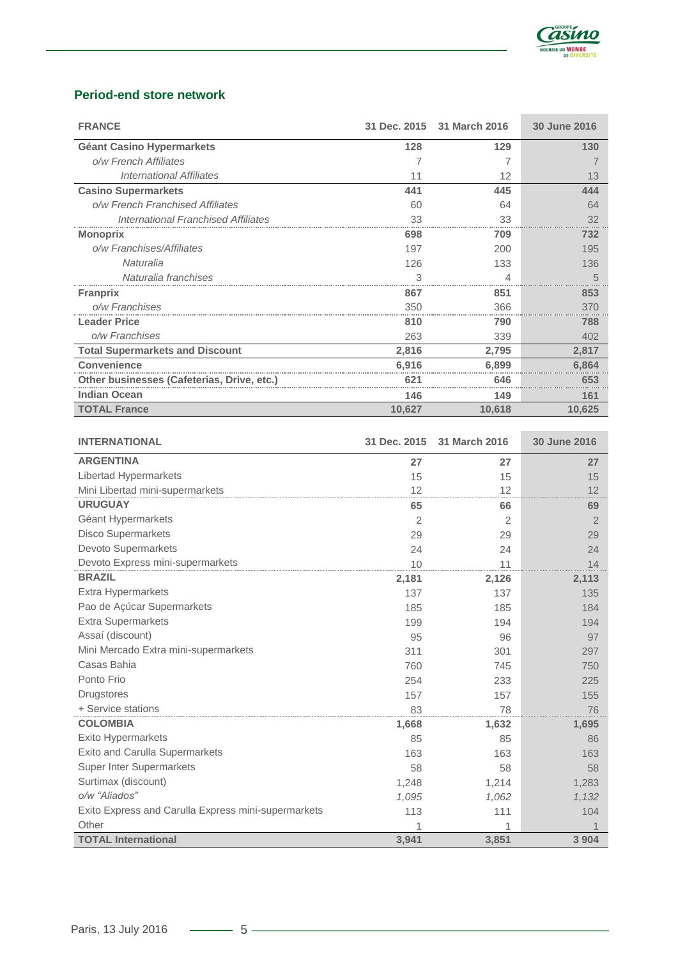

# **Period-end store network**

| <b>FRANCE</b>                              |        | 31 Dec. 2015 31 March 2016 | 30 June 2016 |
|--------------------------------------------|--------|----------------------------|--------------|
| <b>Géant Casino Hypermarkets</b>           | 128    | 129                        | 130          |
| o/w French Affiliates                      |        |                            |              |
| <b>International Affiliates</b>            | 11     | 12                         | 13           |
| <b>Casino Supermarkets</b>                 | 441    | 445                        | 444          |
| o/w French Franchised Affiliates           | 60     | 64                         | 64           |
| <b>International Franchised Affiliates</b> | 33     | 33                         | 32           |
| <b>Monoprix</b>                            | 698    | 709                        | 732          |
| o/w Franchises/Affiliates                  | 197    | 200                        | 195          |
| Naturalia                                  | 126    | 133                        | 136          |
| Naturalia franchises                       | 3      | Δ                          | 5            |
| <b>Franprix</b>                            | 867    | 851                        | 853          |
| o/w Franchises                             | 350    | 366                        | 370          |
| <b>Leader Price</b>                        | 810    | 790                        | 788          |
| o/w Franchises                             | 263    | 339                        | 402          |
| <b>Total Supermarkets and Discount</b>     | 2,816  | 2,795                      | 2,817        |
| <b>Convenience</b>                         | 6.916  | 6.899                      | 6.864        |
| Other businesses (Cafeterias, Drive, etc.) | 621    | 646                        | 653          |
| <b>Indian Ocean</b>                        | 146    | 149                        | 161          |
| <b>TOTAL France</b>                        | 10,627 | 10,618                     | 10,625       |

| <b>INTERNATIONAL</b>                                | 31 Dec. 2015 | 31 March 2016 | 30 June 2016   |
|-----------------------------------------------------|--------------|---------------|----------------|
| <b>ARGENTINA</b>                                    | 27           | 27            | 27             |
| Libertad Hypermarkets                               | 15           | 15            | 15             |
| Mini Libertad mini-supermarkets                     | 12           | 12            | 12             |
| <b>URUGUAY</b>                                      | 65           | 66            | 69             |
| Géant Hypermarkets                                  | 2            | 2             | $\overline{2}$ |
| <b>Disco Supermarkets</b>                           | 29           | 29            | 29             |
| Devoto Supermarkets                                 | 24           | 24            | 24             |
| Devoto Express mini-supermarkets                    | 10           | 11            | 14             |
| <b>BRAZIL</b>                                       | 2,181        | 2,126         | 2,113          |
| <b>Extra Hypermarkets</b>                           | 137          | 137           | 135            |
| Pao de Açúcar Supermarkets                          | 185          | 185           | 184            |
| <b>Extra Supermarkets</b>                           | 199          | 194           | 194            |
| Assaí (discount)                                    | 95           | 96            | 97             |
| Mini Mercado Extra mini-supermarkets                | 311          | 301           | 297            |
| Casas Bahia                                         | 760          | 745           | 750            |
| Ponto Frio                                          | 254          | 233           | 225            |
| <b>Drugstores</b>                                   | 157          | 157           | 155            |
| + Service stations                                  | 83           | 78            | 76             |
| <b>COLOMBIA</b>                                     | 1,668        | 1,632         | 1,695          |
| Exito Hypermarkets                                  | 85           | 85            | 86             |
| Exito and Carulla Supermarkets                      | 163          | 163           | 163            |
| <b>Super Inter Supermarkets</b>                     | 58           | 58            | 58             |
| Surtimax (discount)                                 | 1,248        | 1,214         | 1,283          |
| o/w "Aliados"                                       | 1,095        | 1,062         | 1,132          |
| Exito Express and Carulla Express mini-supermarkets | 113          | 111           | 104            |
| Other                                               | 1            |               |                |
| <b>TOTAL International</b>                          | 3,941        | 3,851         | 3 9 0 4        |